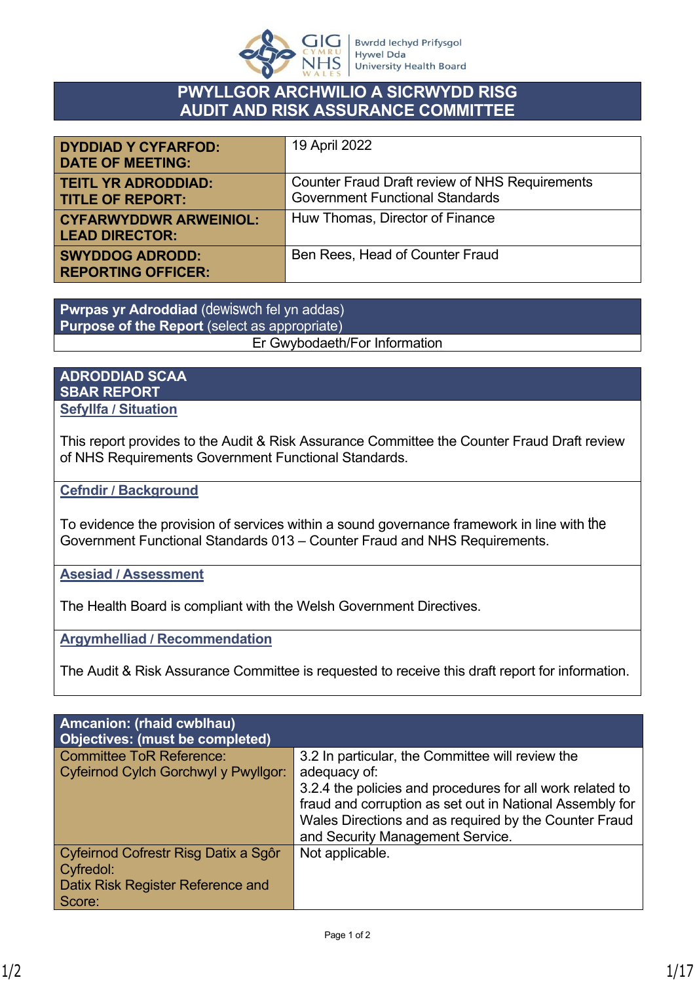

# **PWYLLGOR ARCHWILIO A SICRWYDD RISG AUDIT AND RISK ASSURANCE COMMITTEE**

| <b>DYDDIAD Y CYFARFOD:</b><br><b>DATE OF MEETING:</b>  | 19 April 2022                                                                                   |
|--------------------------------------------------------|-------------------------------------------------------------------------------------------------|
| <b>TEITL YR ADRODDIAD:</b><br><b>TITLE OF REPORT:</b>  | <b>Counter Fraud Draft review of NHS Requirements</b><br><b>Government Functional Standards</b> |
| <b>CYFARWYDDWR ARWEINIOL:</b><br><b>LEAD DIRECTOR:</b> | Huw Thomas, Director of Finance                                                                 |
| <b>SWYDDOG ADRODD:</b><br><b>REPORTING OFFICER:</b>    | Ben Rees, Head of Counter Fraud                                                                 |

**Pwrpas yr Adroddiad** (dewiswch fel yn addas) **Purpose of the Report** (select as appropriate) Er Gwybodaeth/For Information

#### **ADRODDIAD SCAA SBAR REPORT Sefyllfa / Situation**

This report provides to the Audit & Risk Assurance Committee the Counter Fraud Draft review of NHS Requirements Government Functional Standards.

**Cefndir / Background**

To evidence the provision of services within a sound governance framework in line with the Government Functional Standards 013 – Counter Fraud and NHS Requirements.

**Asesiad / Assessment**

The Health Board is compliant with the Welsh Government Directives.

**Argymhelliad / Recommendation**

The Audit & Risk Assurance Committee is requested to receive this draft report for information.

| <b>Amcanion: (rhaid cwblhau)</b><br><b>Objectives: (must be completed)</b> |                                                           |
|----------------------------------------------------------------------------|-----------------------------------------------------------|
| <b>Committee ToR Reference:</b>                                            | 3.2 In particular, the Committee will review the          |
| Cyfeirnod Cylch Gorchwyl y Pwyllgor:                                       | adequacy of:                                              |
|                                                                            | 3.2.4 the policies and procedures for all work related to |
|                                                                            | fraud and corruption as set out in National Assembly for  |
|                                                                            | Wales Directions and as required by the Counter Fraud     |
|                                                                            | and Security Management Service.                          |
| Cyfeirnod Cofrestr Risg Datix a Sgôr                                       | Not applicable.                                           |
| Cyfredol:                                                                  |                                                           |
| Datix Risk Register Reference and                                          |                                                           |
| Score:                                                                     |                                                           |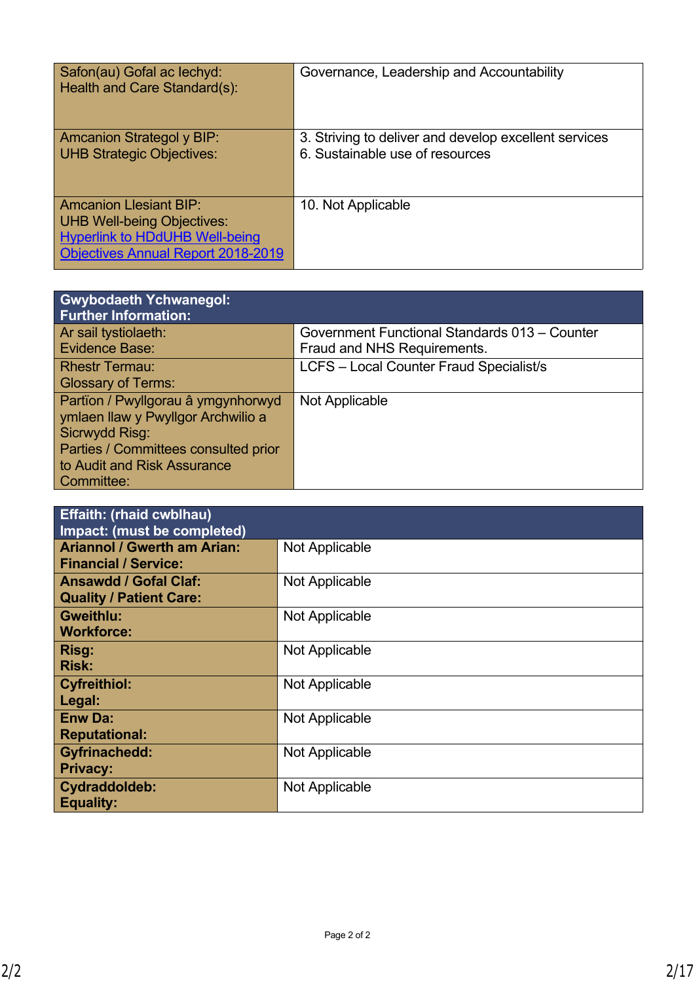| Safon(au) Gofal ac lechyd:<br>Health and Care Standard(s):                                                                                               | Governance, Leadership and Accountability                                                |
|----------------------------------------------------------------------------------------------------------------------------------------------------------|------------------------------------------------------------------------------------------|
| <b>Amcanion Strategol y BIP:</b><br><b>UHB Strategic Objectives:</b>                                                                                     | 3. Striving to deliver and develop excellent services<br>6. Sustainable use of resources |
| <b>Amcanion Llesiant BIP:</b><br><b>UHB Well-being Objectives:</b><br><b>Hyperlink to HDdUHB Well-being</b><br><b>Objectives Annual Report 2018-2019</b> | 10. Not Applicable                                                                       |

| <b>Gwybodaeth Ychwanegol:</b><br><b>Further Information:</b> |                                                |
|--------------------------------------------------------------|------------------------------------------------|
| Ar sail tystiolaeth:                                         | Government Functional Standards 013 - Counter  |
| <b>Evidence Base:</b>                                        | Fraud and NHS Requirements.                    |
| <b>Rhestr Termau:</b>                                        | <b>LCFS - Local Counter Fraud Specialist/s</b> |
| <b>Glossary of Terms:</b>                                    |                                                |
| Partïon / Pwyllgorau â ymgynhorwyd                           | Not Applicable                                 |
| ymlaen llaw y Pwyllgor Archwilio a                           |                                                |
| Sicrwydd Risg:                                               |                                                |
| Parties / Committees consulted prior                         |                                                |
| to Audit and Risk Assurance                                  |                                                |
| Committee:                                                   |                                                |

| <b>Effaith: (rhaid cwblhau)</b><br>Impact: (must be completed) |                |
|----------------------------------------------------------------|----------------|
| <b>Ariannol / Gwerth am Arian:</b>                             | Not Applicable |
| <b>Financial / Service:</b>                                    |                |
| <b>Ansawdd / Gofal Claf:</b><br><b>Quality / Patient Care:</b> | Not Applicable |
| <b>Gweithlu:</b><br><b>Workforce:</b>                          | Not Applicable |
| Risg:<br><b>Risk:</b>                                          | Not Applicable |
| <b>Cyfreithiol:</b><br>Legal:                                  | Not Applicable |
| <b>Enw Da:</b><br><b>Reputational:</b>                         | Not Applicable |
| <b>Gyfrinachedd:</b><br><b>Privacy:</b>                        | Not Applicable |
| Cydraddoldeb:<br><b>Equality:</b>                              | Not Applicable |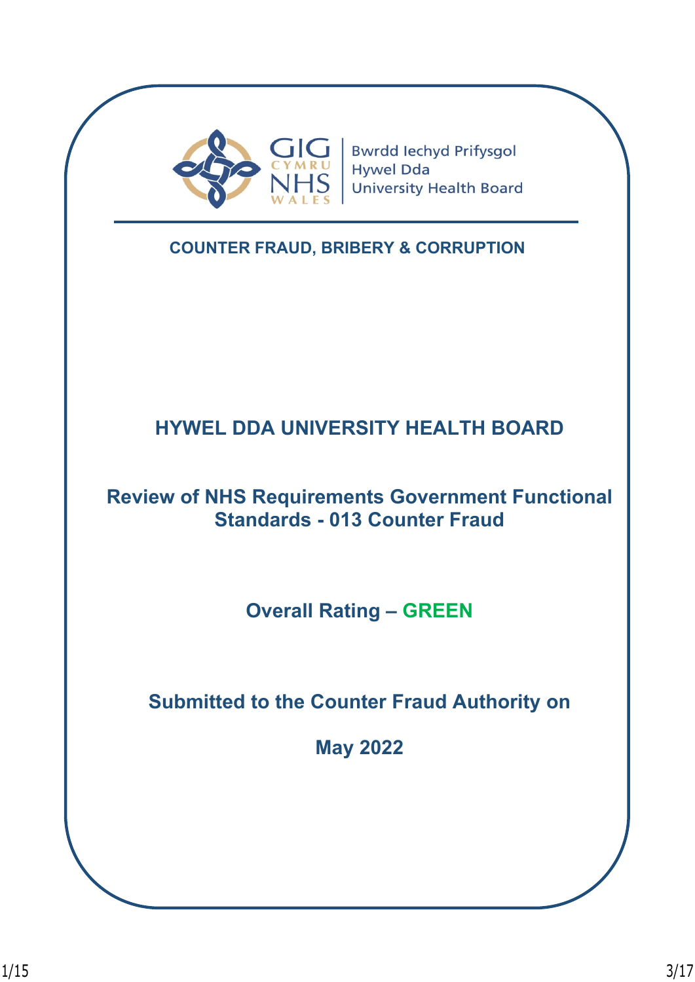

**Bwrdd lechyd Prifysgol Hywel Dda University Health Board** 

**COUNTER FRAUD, BRIBERY & CORRUPTION**

# **HYWEL DDA UNIVERSITY HEALTH BOARD**

# **Review of NHS Requirements Government Functional Standards - 013 Counter Fraud**

**Overall Rating – GREEN**

**Submitted to the Counter Fraud Authority on**

**May 2022**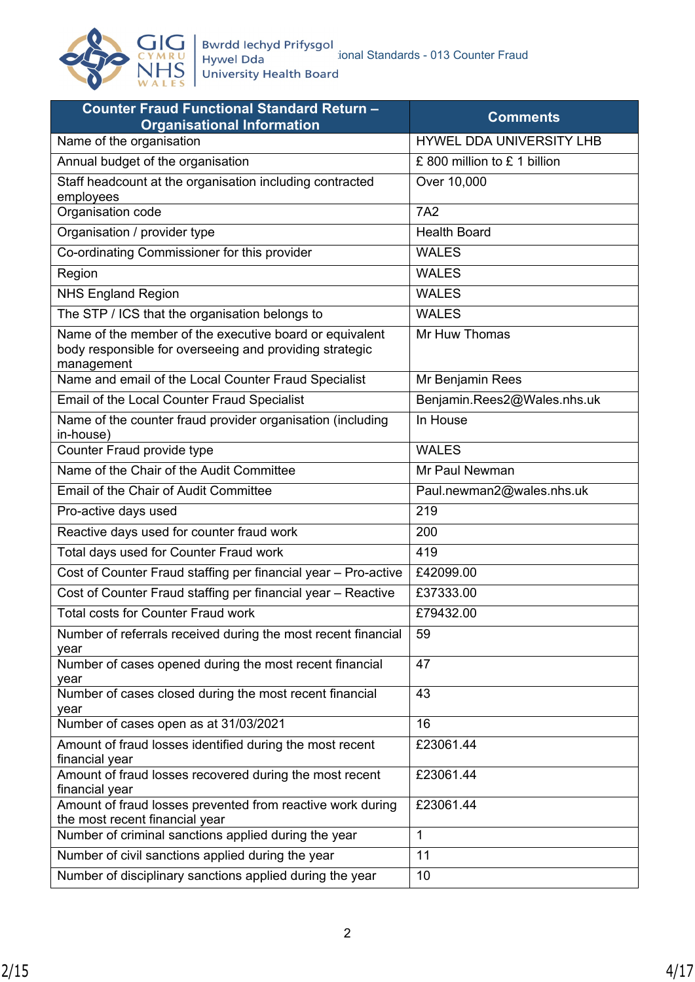

| <b>Counter Fraud Functional Standard Return -</b><br><b>Organisational Information</b>                                           | <b>Comments</b>              |  |
|----------------------------------------------------------------------------------------------------------------------------------|------------------------------|--|
| Name of the organisation                                                                                                         | HYWEL DDA UNIVERSITY LHB     |  |
| Annual budget of the organisation                                                                                                | £ 800 million to £ 1 billion |  |
| Staff headcount at the organisation including contracted<br>employees                                                            | Over 10,000                  |  |
| Organisation code                                                                                                                | <b>7A2</b>                   |  |
| Organisation / provider type                                                                                                     | <b>Health Board</b>          |  |
| Co-ordinating Commissioner for this provider                                                                                     | <b>WALES</b>                 |  |
| Region                                                                                                                           | <b>WALES</b>                 |  |
| <b>NHS England Region</b>                                                                                                        | <b>WALES</b>                 |  |
| The STP / ICS that the organisation belongs to                                                                                   | <b>WALES</b>                 |  |
| Name of the member of the executive board or equivalent<br>body responsible for overseeing and providing strategic<br>management | Mr Huw Thomas                |  |
| Name and email of the Local Counter Fraud Specialist                                                                             | Mr Benjamin Rees             |  |
| Email of the Local Counter Fraud Specialist                                                                                      | Benjamin.Rees2@Wales.nhs.uk  |  |
| Name of the counter fraud provider organisation (including<br>in-house)                                                          | In House                     |  |
| Counter Fraud provide type                                                                                                       | <b>WALES</b>                 |  |
| Name of the Chair of the Audit Committee                                                                                         | Mr Paul Newman               |  |
| <b>Email of the Chair of Audit Committee</b>                                                                                     | Paul.newman2@wales.nhs.uk    |  |
| Pro-active days used                                                                                                             | 219                          |  |
| Reactive days used for counter fraud work                                                                                        | 200                          |  |
| Total days used for Counter Fraud work                                                                                           | 419                          |  |
| Cost of Counter Fraud staffing per financial year - Pro-active                                                                   | £42099.00                    |  |
| Cost of Counter Fraud staffing per financial year - Reactive                                                                     | £37333.00                    |  |
| <b>Total costs for Counter Fraud work</b>                                                                                        | £79432.00                    |  |
| Number of referrals received during the most recent financial<br>year                                                            | 59                           |  |
| Number of cases opened during the most recent financial<br>year                                                                  | 47                           |  |
| Number of cases closed during the most recent financial<br>year                                                                  | 43                           |  |
| Number of cases open as at 31/03/2021                                                                                            | 16                           |  |
| Amount of fraud losses identified during the most recent<br>financial year                                                       | £23061.44                    |  |
| Amount of fraud losses recovered during the most recent<br>financial year                                                        | £23061.44                    |  |
| Amount of fraud losses prevented from reactive work during<br>the most recent financial year                                     | £23061.44                    |  |
| Number of criminal sanctions applied during the year                                                                             | $\mathbf{1}$                 |  |
| Number of civil sanctions applied during the year                                                                                | 11                           |  |
| Number of disciplinary sanctions applied during the year                                                                         | 10                           |  |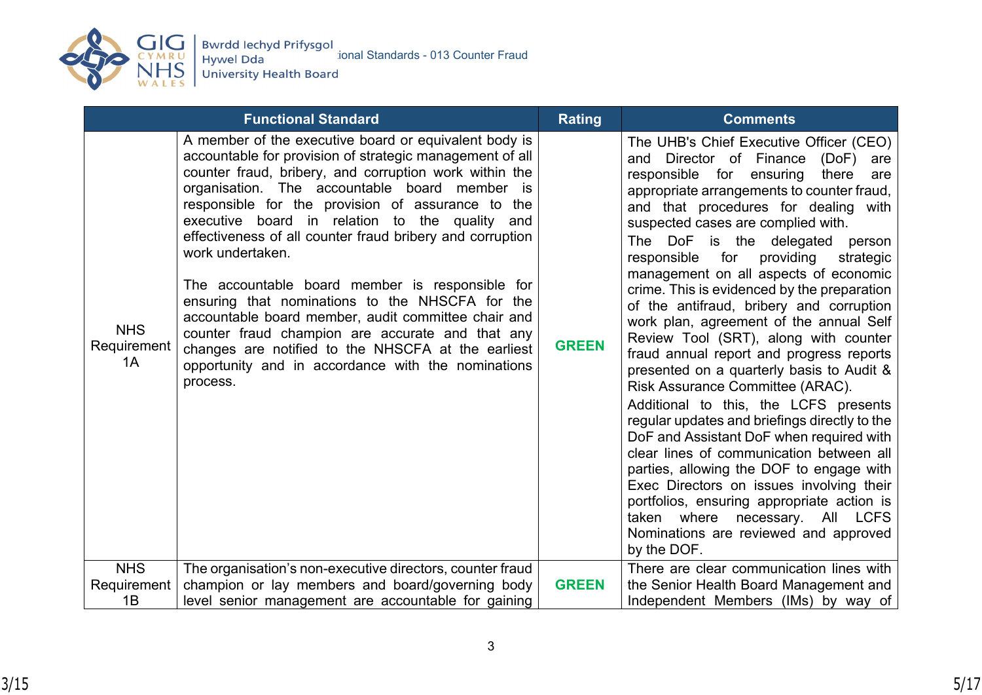

|                                 | <b>Functional Standard</b>                                                                                                                                                                                                                                                                                                                                                                                                                                                                                                                                                                                                                                                                                                                                    | <b>Rating</b> | <b>Comments</b>                                                                                                                                                                                                                                                                                                                                                                                                                                                                                                                                                                                                                                                                                                                                                                                                                                                                                                                                                                                                                                                                                                                |
|---------------------------------|---------------------------------------------------------------------------------------------------------------------------------------------------------------------------------------------------------------------------------------------------------------------------------------------------------------------------------------------------------------------------------------------------------------------------------------------------------------------------------------------------------------------------------------------------------------------------------------------------------------------------------------------------------------------------------------------------------------------------------------------------------------|---------------|--------------------------------------------------------------------------------------------------------------------------------------------------------------------------------------------------------------------------------------------------------------------------------------------------------------------------------------------------------------------------------------------------------------------------------------------------------------------------------------------------------------------------------------------------------------------------------------------------------------------------------------------------------------------------------------------------------------------------------------------------------------------------------------------------------------------------------------------------------------------------------------------------------------------------------------------------------------------------------------------------------------------------------------------------------------------------------------------------------------------------------|
| <b>NHS</b><br>Requirement<br>1A | A member of the executive board or equivalent body is<br>accountable for provision of strategic management of all<br>counter fraud, bribery, and corruption work within the<br>organisation. The accountable board member is<br>responsible for the provision of assurance to the<br>executive board in relation to the quality and<br>effectiveness of all counter fraud bribery and corruption<br>work undertaken.<br>The accountable board member is responsible for<br>ensuring that nominations to the NHSCFA for the<br>accountable board member, audit committee chair and<br>counter fraud champion are accurate and that any<br>changes are notified to the NHSCFA at the earliest<br>opportunity and in accordance with the nominations<br>process. | <b>GREEN</b>  | The UHB's Chief Executive Officer (CEO)<br>Director of Finance<br>(DoF)<br>and<br>are<br>responsible for<br>ensuring<br>there<br>are<br>appropriate arrangements to counter fraud,<br>and that procedures for dealing with<br>suspected cases are complied with.<br>The DoF is the delegated<br>person<br>responsible<br>for<br>providing<br>strategic<br>management on all aspects of economic<br>crime. This is evidenced by the preparation<br>of the antifraud, bribery and corruption<br>work plan, agreement of the annual Self<br>Review Tool (SRT), along with counter<br>fraud annual report and progress reports<br>presented on a quarterly basis to Audit &<br>Risk Assurance Committee (ARAC).<br>Additional to this, the LCFS presents<br>regular updates and briefings directly to the<br>DoF and Assistant DoF when required with<br>clear lines of communication between all<br>parties, allowing the DOF to engage with<br>Exec Directors on issues involving their<br>portfolios, ensuring appropriate action is<br>taken where necessary. All LCFS<br>Nominations are reviewed and approved<br>by the DOF. |
| <b>NHS</b>                      | The organisation's non-executive directors, counter fraud                                                                                                                                                                                                                                                                                                                                                                                                                                                                                                                                                                                                                                                                                                     |               | There are clear communication lines with                                                                                                                                                                                                                                                                                                                                                                                                                                                                                                                                                                                                                                                                                                                                                                                                                                                                                                                                                                                                                                                                                       |
| Requirement                     | champion or lay members and board/governing body                                                                                                                                                                                                                                                                                                                                                                                                                                                                                                                                                                                                                                                                                                              | <b>GREEN</b>  | the Senior Health Board Management and                                                                                                                                                                                                                                                                                                                                                                                                                                                                                                                                                                                                                                                                                                                                                                                                                                                                                                                                                                                                                                                                                         |
| 1B                              | level senior management are accountable for gaining                                                                                                                                                                                                                                                                                                                                                                                                                                                                                                                                                                                                                                                                                                           |               | Independent Members (IMs) by way of                                                                                                                                                                                                                                                                                                                                                                                                                                                                                                                                                                                                                                                                                                                                                                                                                                                                                                                                                                                                                                                                                            |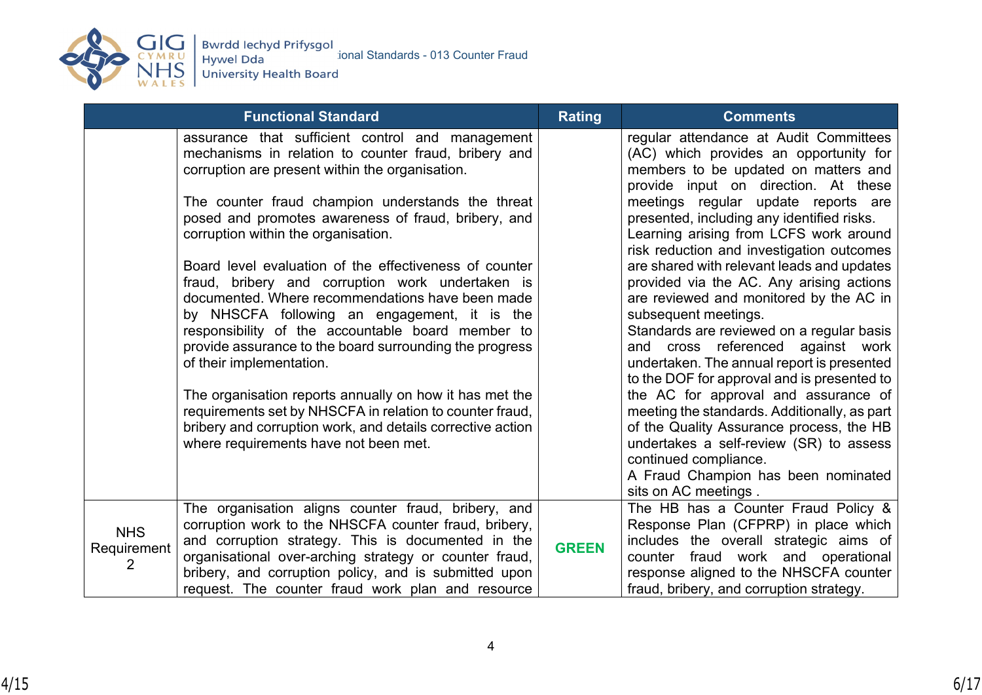

|                                | <b>Functional Standard</b>                                                                                                                                                                                                                                                            | <b>Rating</b> | <b>Comments</b>                                                                                                                                                                                       |
|--------------------------------|---------------------------------------------------------------------------------------------------------------------------------------------------------------------------------------------------------------------------------------------------------------------------------------|---------------|-------------------------------------------------------------------------------------------------------------------------------------------------------------------------------------------------------|
|                                | assurance that sufficient control and management<br>mechanisms in relation to counter fraud, bribery and<br>corruption are present within the organisation.                                                                                                                           |               | regular attendance at Audit Committees<br>(AC) which provides an opportunity for<br>members to be updated on matters and<br>provide input on direction. At these                                      |
|                                | The counter fraud champion understands the threat<br>posed and promotes awareness of fraud, bribery, and<br>corruption within the organisation.                                                                                                                                       |               | meetings regular update reports are<br>presented, including any identified risks.<br>Learning arising from LCFS work around<br>risk reduction and investigation outcomes                              |
|                                | Board level evaluation of the effectiveness of counter<br>fraud, bribery and corruption work undertaken is<br>documented. Where recommendations have been made<br>by NHSCFA following an engagement, it is the                                                                        |               | are shared with relevant leads and updates<br>provided via the AC. Any arising actions<br>are reviewed and monitored by the AC in<br>subsequent meetings.                                             |
|                                | responsibility of the accountable board member to<br>provide assurance to the board surrounding the progress<br>of their implementation.                                                                                                                                              |               | Standards are reviewed on a regular basis<br>and cross referenced against work<br>undertaken. The annual report is presented<br>to the DOF for approval and is presented to                           |
|                                | The organisation reports annually on how it has met the<br>requirements set by NHSCFA in relation to counter fraud,<br>bribery and corruption work, and details corrective action<br>where requirements have not been met.                                                            |               | the AC for approval and assurance of<br>meeting the standards. Additionally, as part<br>of the Quality Assurance process, the HB<br>undertakes a self-review (SR) to assess<br>continued compliance.  |
|                                |                                                                                                                                                                                                                                                                                       |               | A Fraud Champion has been nominated<br>sits on AC meetings.                                                                                                                                           |
| <b>NHS</b><br>Requirement<br>2 | The organisation aligns counter fraud, bribery, and<br>corruption work to the NHSCFA counter fraud, bribery,<br>and corruption strategy. This is documented in the<br>organisational over-arching strategy or counter fraud,<br>bribery, and corruption policy, and is submitted upon | <b>GREEN</b>  | The HB has a Counter Fraud Policy &<br>Response Plan (CFPRP) in place which<br>includes the overall strategic aims of<br>counter fraud work and operational<br>response aligned to the NHSCFA counter |
|                                | request. The counter fraud work plan and resource                                                                                                                                                                                                                                     |               | fraud, bribery, and corruption strategy.                                                                                                                                                              |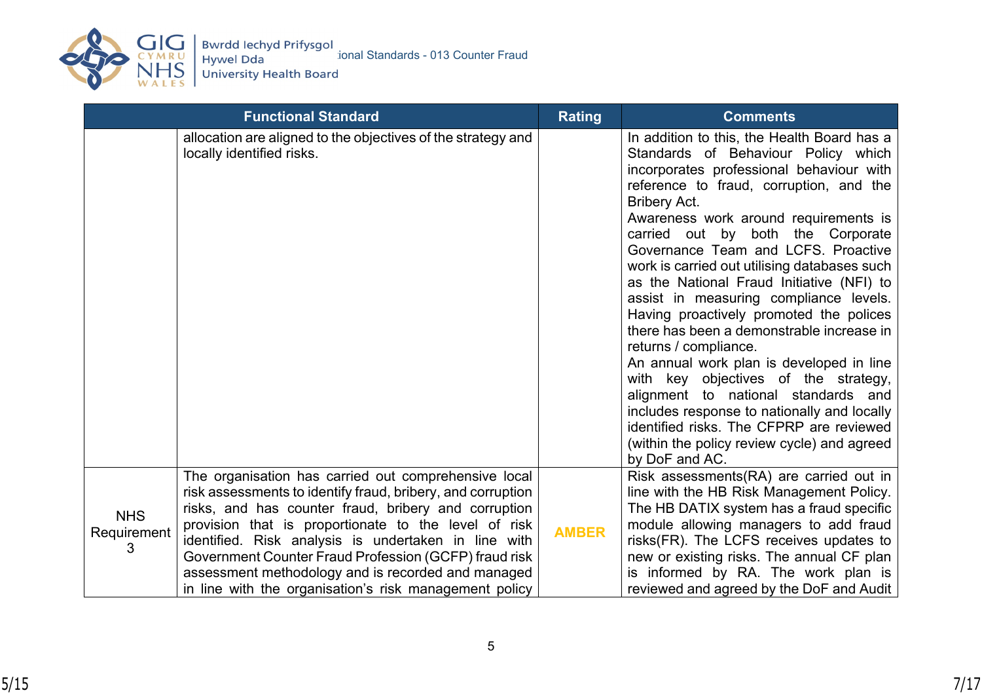

|                                | <b>Functional Standard</b>                                                                                                                                                                                                                                                                                                                                                                                                                                           | <b>Rating</b> | <b>Comments</b>                                                                                                                                                                                                                                                                                                                                                                                                                                                                                                                                                                                                                                                                                                                                                                                                                                                      |
|--------------------------------|----------------------------------------------------------------------------------------------------------------------------------------------------------------------------------------------------------------------------------------------------------------------------------------------------------------------------------------------------------------------------------------------------------------------------------------------------------------------|---------------|----------------------------------------------------------------------------------------------------------------------------------------------------------------------------------------------------------------------------------------------------------------------------------------------------------------------------------------------------------------------------------------------------------------------------------------------------------------------------------------------------------------------------------------------------------------------------------------------------------------------------------------------------------------------------------------------------------------------------------------------------------------------------------------------------------------------------------------------------------------------|
|                                | allocation are aligned to the objectives of the strategy and<br>locally identified risks.                                                                                                                                                                                                                                                                                                                                                                            |               | In addition to this, the Health Board has a<br>Standards of Behaviour Policy which<br>incorporates professional behaviour with<br>reference to fraud, corruption, and the<br><b>Bribery Act.</b><br>Awareness work around requirements is<br>carried out by both the Corporate<br>Governance Team and LCFS. Proactive<br>work is carried out utilising databases such<br>as the National Fraud Initiative (NFI) to<br>assist in measuring compliance levels.<br>Having proactively promoted the polices<br>there has been a demonstrable increase in<br>returns / compliance.<br>An annual work plan is developed in line<br>with key objectives of the strategy,<br>alignment to national standards and<br>includes response to nationally and locally<br>identified risks. The CFPRP are reviewed<br>(within the policy review cycle) and agreed<br>by DoF and AC. |
| <b>NHS</b><br>Requirement<br>З | The organisation has carried out comprehensive local<br>risk assessments to identify fraud, bribery, and corruption<br>risks, and has counter fraud, bribery and corruption<br>provision that is proportionate to the level of risk<br>identified. Risk analysis is undertaken in line with<br>Government Counter Fraud Profession (GCFP) fraud risk<br>assessment methodology and is recorded and managed<br>in line with the organisation's risk management policy | <b>AMBER</b>  | Risk assessments(RA) are carried out in<br>line with the HB Risk Management Policy.<br>The HB DATIX system has a fraud specific<br>module allowing managers to add fraud<br>risks(FR). The LCFS receives updates to<br>new or existing risks. The annual CF plan<br>is informed by RA. The work plan is<br>reviewed and agreed by the DoF and Audit                                                                                                                                                                                                                                                                                                                                                                                                                                                                                                                  |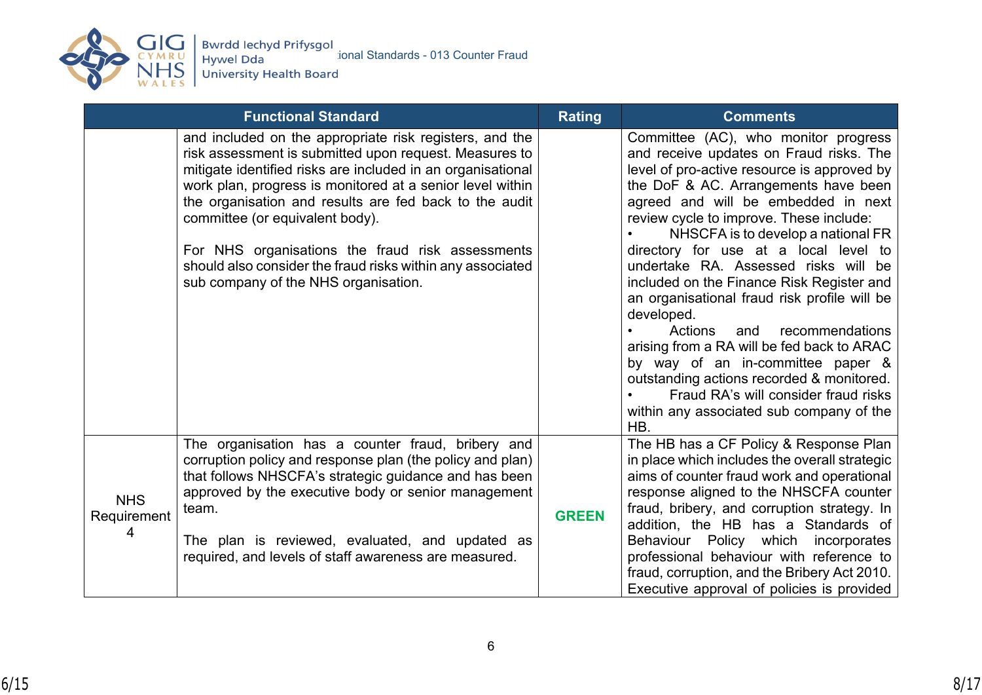

CYMRU<br>REVIEW Hywel Dda Standards - 013 Counter Fraud<br>WALES University Health Board

|                                | <b>Functional Standard</b>                                                                                                                                                                                                                                                                                                                                                                                                                                                                           | <b>Rating</b> | <b>Comments</b>                                                                                                                                                                                                                                                                                                                                                                                                                                                                                                                                                                                                                                                                                                                                            |
|--------------------------------|------------------------------------------------------------------------------------------------------------------------------------------------------------------------------------------------------------------------------------------------------------------------------------------------------------------------------------------------------------------------------------------------------------------------------------------------------------------------------------------------------|---------------|------------------------------------------------------------------------------------------------------------------------------------------------------------------------------------------------------------------------------------------------------------------------------------------------------------------------------------------------------------------------------------------------------------------------------------------------------------------------------------------------------------------------------------------------------------------------------------------------------------------------------------------------------------------------------------------------------------------------------------------------------------|
|                                | and included on the appropriate risk registers, and the<br>risk assessment is submitted upon request. Measures to<br>mitigate identified risks are included in an organisational<br>work plan, progress is monitored at a senior level within<br>the organisation and results are fed back to the audit<br>committee (or equivalent body).<br>For NHS organisations the fraud risk assessments<br>should also consider the fraud risks within any associated<br>sub company of the NHS organisation. |               | Committee (AC), who monitor progress<br>and receive updates on Fraud risks. The<br>level of pro-active resource is approved by<br>the DoF & AC. Arrangements have been<br>agreed and will be embedded in next<br>review cycle to improve. These include:<br>NHSCFA is to develop a national FR<br>directory for use at a local level to<br>undertake RA. Assessed risks will be<br>included on the Finance Risk Register and<br>an organisational fraud risk profile will be<br>developed.<br>Actions<br>recommendations<br>and<br>arising from a RA will be fed back to ARAC<br>by way of an in-committee paper &<br>outstanding actions recorded & monitored.<br>Fraud RA's will consider fraud risks<br>within any associated sub company of the<br>HB. |
| <b>NHS</b><br>Requirement<br>4 | The organisation has a counter fraud, bribery and<br>corruption policy and response plan (the policy and plan)<br>that follows NHSCFA's strategic guidance and has been<br>approved by the executive body or senior management<br>team.<br>The plan is reviewed, evaluated, and updated as<br>required, and levels of staff awareness are measured.                                                                                                                                                  | <b>GREEN</b>  | The HB has a CF Policy & Response Plan<br>in place which includes the overall strategic<br>aims of counter fraud work and operational<br>response aligned to the NHSCFA counter<br>fraud, bribery, and corruption strategy. In<br>addition, the HB has a Standards of<br>Behaviour Policy which incorporates<br>professional behaviour with reference to<br>fraud, corruption, and the Bribery Act 2010.<br>Executive approval of policies is provided                                                                                                                                                                                                                                                                                                     |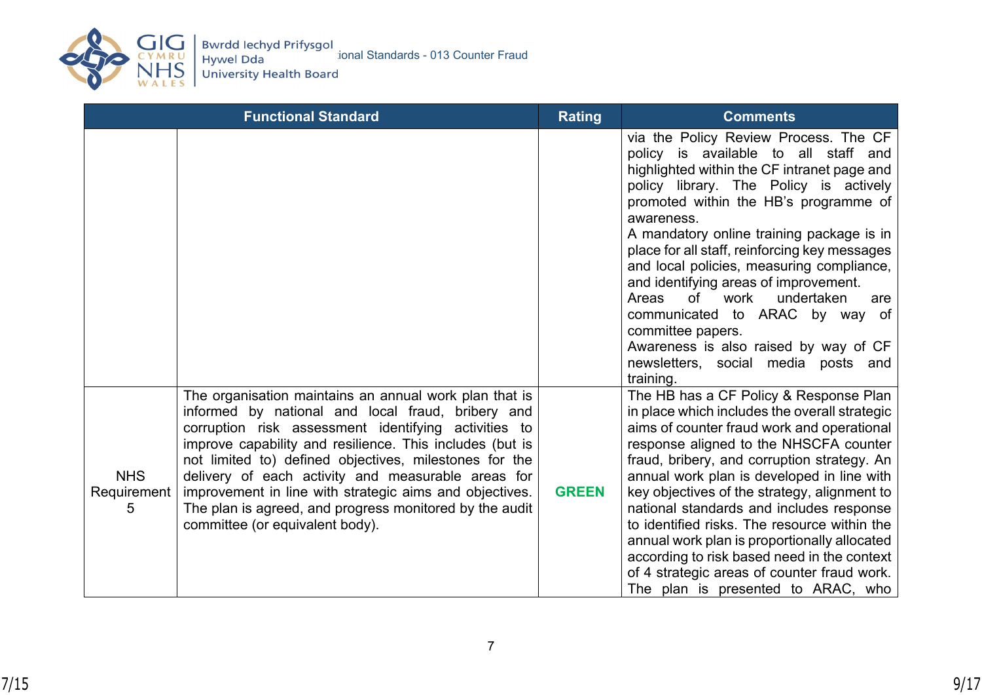

|                                | <b>Functional Standard</b>                                                                                                                                                                                                                                                                                                                                                                                                                                                                               | <b>Rating</b> | <b>Comments</b>                                                                                                                                                                                                                                                                                                                                                                                                                                                                                                                                                                                                              |
|--------------------------------|----------------------------------------------------------------------------------------------------------------------------------------------------------------------------------------------------------------------------------------------------------------------------------------------------------------------------------------------------------------------------------------------------------------------------------------------------------------------------------------------------------|---------------|------------------------------------------------------------------------------------------------------------------------------------------------------------------------------------------------------------------------------------------------------------------------------------------------------------------------------------------------------------------------------------------------------------------------------------------------------------------------------------------------------------------------------------------------------------------------------------------------------------------------------|
|                                |                                                                                                                                                                                                                                                                                                                                                                                                                                                                                                          |               | via the Policy Review Process. The CF<br>policy is available to all staff and<br>highlighted within the CF intranet page and<br>policy library. The Policy is actively<br>promoted within the HB's programme of<br>awareness.<br>A mandatory online training package is in<br>place for all staff, reinforcing key messages<br>and local policies, measuring compliance,<br>and identifying areas of improvement.<br><sub>of</sub><br>work<br>undertaken<br>Areas<br>are<br>communicated to ARAC by way of<br>committee papers.<br>Awareness is also raised by way of CF<br>newsletters, social media posts and<br>training. |
| <b>NHS</b><br>Requirement<br>5 | The organisation maintains an annual work plan that is<br>informed by national and local fraud, bribery and<br>corruption risk assessment identifying activities to<br>improve capability and resilience. This includes (but is<br>not limited to) defined objectives, milestones for the<br>delivery of each activity and measurable areas for<br>improvement in line with strategic aims and objectives.<br>The plan is agreed, and progress monitored by the audit<br>committee (or equivalent body). | <b>GREEN</b>  | The HB has a CF Policy & Response Plan<br>in place which includes the overall strategic<br>aims of counter fraud work and operational<br>response aligned to the NHSCFA counter<br>fraud, bribery, and corruption strategy. An<br>annual work plan is developed in line with<br>key objectives of the strategy, alignment to<br>national standards and includes response<br>to identified risks. The resource within the<br>annual work plan is proportionally allocated<br>according to risk based need in the context<br>of 4 strategic areas of counter fraud work.<br>The plan is presented to ARAC, who                 |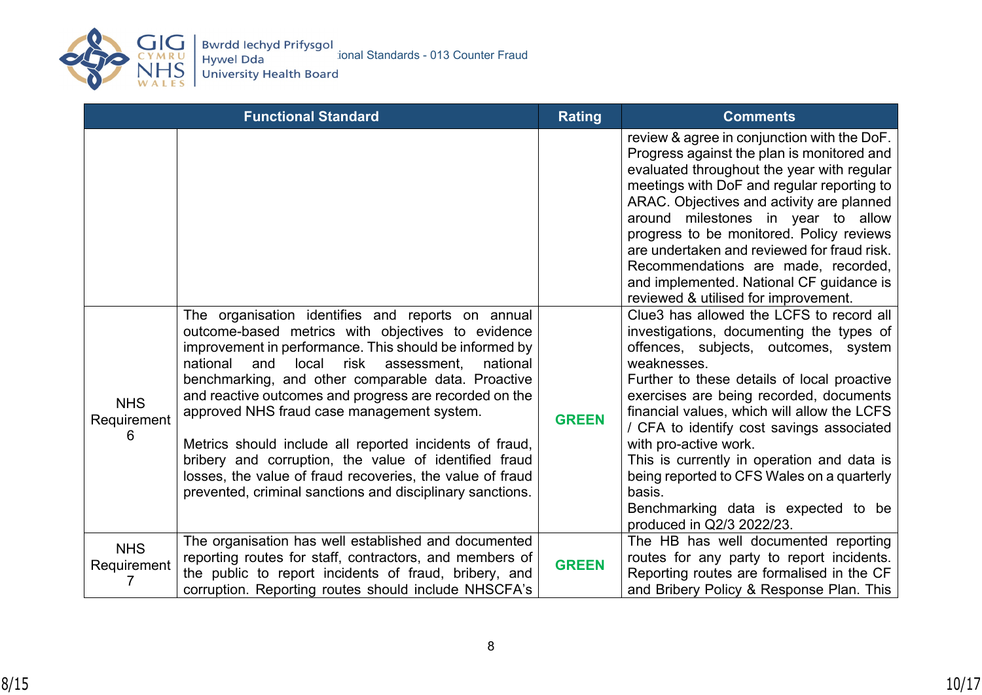

|                                | <b>Functional Standard</b>                                                                                                                                                                                                                                                                                                                                                                                                                                                                                                                                                                                                                  | <b>Rating</b> | <b>Comments</b>                                                                                                                                                                                                                                                                                                                                                                                                                                                                                                                      |
|--------------------------------|---------------------------------------------------------------------------------------------------------------------------------------------------------------------------------------------------------------------------------------------------------------------------------------------------------------------------------------------------------------------------------------------------------------------------------------------------------------------------------------------------------------------------------------------------------------------------------------------------------------------------------------------|---------------|--------------------------------------------------------------------------------------------------------------------------------------------------------------------------------------------------------------------------------------------------------------------------------------------------------------------------------------------------------------------------------------------------------------------------------------------------------------------------------------------------------------------------------------|
|                                |                                                                                                                                                                                                                                                                                                                                                                                                                                                                                                                                                                                                                                             |               | review & agree in conjunction with the DoF.<br>Progress against the plan is monitored and<br>evaluated throughout the year with regular<br>meetings with DoF and regular reporting to<br>ARAC. Objectives and activity are planned<br>around milestones in year to allow<br>progress to be monitored. Policy reviews<br>are undertaken and reviewed for fraud risk.<br>Recommendations are made, recorded,<br>and implemented. National CF guidance is<br>reviewed & utilised for improvement.                                       |
| <b>NHS</b><br>Requirement<br>6 | The organisation identifies and reports on annual<br>outcome-based metrics with objectives to evidence<br>improvement in performance. This should be informed by<br>national<br>and<br>local<br>risk<br>national<br>assessment.<br>benchmarking, and other comparable data. Proactive<br>and reactive outcomes and progress are recorded on the<br>approved NHS fraud case management system.<br>Metrics should include all reported incidents of fraud,<br>bribery and corruption, the value of identified fraud<br>losses, the value of fraud recoveries, the value of fraud<br>prevented, criminal sanctions and disciplinary sanctions. | <b>GREEN</b>  | Clue3 has allowed the LCFS to record all<br>investigations, documenting the types of<br>offences, subjects, outcomes, system<br>weaknesses.<br>Further to these details of local proactive<br>exercises are being recorded, documents<br>financial values, which will allow the LCFS<br>/ CFA to identify cost savings associated<br>with pro-active work.<br>This is currently in operation and data is<br>being reported to CFS Wales on a quarterly<br>basis.<br>Benchmarking data is expected to be<br>produced in Q2/3 2022/23. |
| <b>NHS</b><br>Requirement      | The organisation has well established and documented<br>reporting routes for staff, contractors, and members of<br>the public to report incidents of fraud, bribery, and<br>corruption. Reporting routes should include NHSCFA's                                                                                                                                                                                                                                                                                                                                                                                                            | <b>GREEN</b>  | The HB has well documented reporting<br>routes for any party to report incidents.<br>Reporting routes are formalised in the CF<br>and Bribery Policy & Response Plan. This                                                                                                                                                                                                                                                                                                                                                           |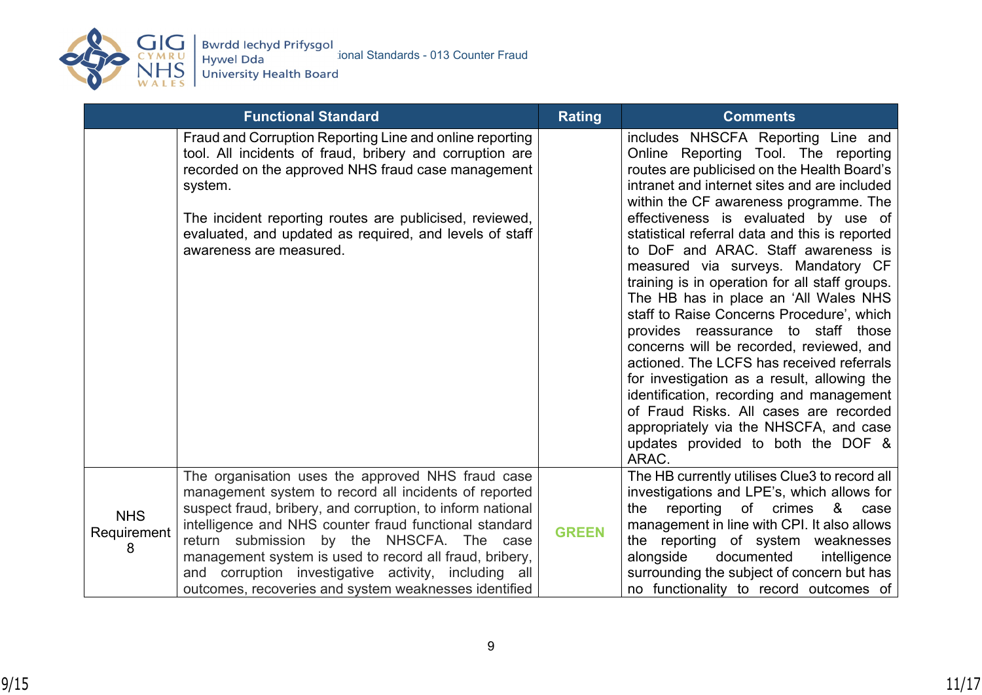

|                                | <b>Functional Standard</b>                                                                                                                                                                                                                                                                                                                                                                                                                                  | <b>Rating</b> | <b>Comments</b>                                                                                                                                                                                                                                                                                                                                                                                                                                                                                                                                                                                                                                                                                                                                                                                                                                                                                  |
|--------------------------------|-------------------------------------------------------------------------------------------------------------------------------------------------------------------------------------------------------------------------------------------------------------------------------------------------------------------------------------------------------------------------------------------------------------------------------------------------------------|---------------|--------------------------------------------------------------------------------------------------------------------------------------------------------------------------------------------------------------------------------------------------------------------------------------------------------------------------------------------------------------------------------------------------------------------------------------------------------------------------------------------------------------------------------------------------------------------------------------------------------------------------------------------------------------------------------------------------------------------------------------------------------------------------------------------------------------------------------------------------------------------------------------------------|
|                                | Fraud and Corruption Reporting Line and online reporting<br>tool. All incidents of fraud, bribery and corruption are<br>recorded on the approved NHS fraud case management<br>system.<br>The incident reporting routes are publicised, reviewed,<br>evaluated, and updated as required, and levels of staff<br>awareness are measured.                                                                                                                      |               | includes NHSCFA Reporting Line and<br>Online Reporting Tool. The reporting<br>routes are publicised on the Health Board's<br>intranet and internet sites and are included<br>within the CF awareness programme. The<br>effectiveness is evaluated by use of<br>statistical referral data and this is reported<br>to DoF and ARAC. Staff awareness is<br>measured via surveys. Mandatory CF<br>training is in operation for all staff groups.<br>The HB has in place an 'All Wales NHS<br>staff to Raise Concerns Procedure', which<br>provides reassurance to staff those<br>concerns will be recorded, reviewed, and<br>actioned. The LCFS has received referrals<br>for investigation as a result, allowing the<br>identification, recording and management<br>of Fraud Risks. All cases are recorded<br>appropriately via the NHSCFA, and case<br>updates provided to both the DOF &<br>ARAC. |
| <b>NHS</b><br>Requirement<br>8 | The organisation uses the approved NHS fraud case<br>management system to record all incidents of reported<br>suspect fraud, bribery, and corruption, to inform national<br>intelligence and NHS counter fraud functional standard<br>return submission by the NHSCFA. The case<br>management system is used to record all fraud, bribery,<br>and corruption investigative activity, including all<br>outcomes, recoveries and system weaknesses identified | <b>GREEN</b>  | The HB currently utilises Clue3 to record all<br>investigations and LPE's, which allows for<br>reporting of crimes<br>8<br>the<br>case<br>management in line with CPI. It also allows<br>the reporting of system weaknesses<br>alongside<br>documented<br>intelligence<br>surrounding the subject of concern but has<br>no functionality to record outcomes of                                                                                                                                                                                                                                                                                                                                                                                                                                                                                                                                   |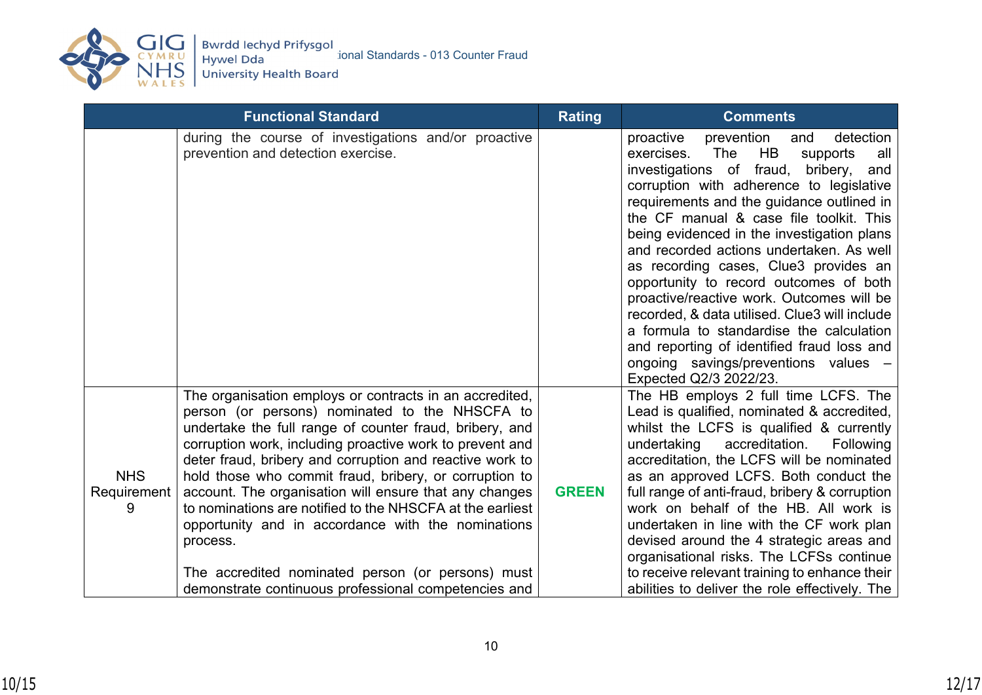

|                           | <b>Functional Standard</b>                                                                                                                                                                                                                                                                                                                                                                                                                                                                                                                                                                                                                                   | <b>Rating</b> | <b>Comments</b>                                                                                                                                                                                                                                                                                                                                                                                                                                                                                                                                                                                                                                                                                                     |
|---------------------------|--------------------------------------------------------------------------------------------------------------------------------------------------------------------------------------------------------------------------------------------------------------------------------------------------------------------------------------------------------------------------------------------------------------------------------------------------------------------------------------------------------------------------------------------------------------------------------------------------------------------------------------------------------------|---------------|---------------------------------------------------------------------------------------------------------------------------------------------------------------------------------------------------------------------------------------------------------------------------------------------------------------------------------------------------------------------------------------------------------------------------------------------------------------------------------------------------------------------------------------------------------------------------------------------------------------------------------------------------------------------------------------------------------------------|
|                           | during the course of investigations and/or proactive<br>prevention and detection exercise.                                                                                                                                                                                                                                                                                                                                                                                                                                                                                                                                                                   |               | detection<br>prevention<br>proactive<br>and<br>exercises.<br>The<br>HB<br>supports<br>all<br>investigations of fraud,<br>bribery,<br>and<br>corruption with adherence to legislative<br>requirements and the guidance outlined in<br>the CF manual & case file toolkit. This<br>being evidenced in the investigation plans<br>and recorded actions undertaken. As well<br>as recording cases, Clue3 provides an<br>opportunity to record outcomes of both<br>proactive/reactive work. Outcomes will be<br>recorded, & data utilised. Clue3 will include<br>a formula to standardise the calculation<br>and reporting of identified fraud loss and<br>ongoing savings/preventions values -<br>Expected Q2/3 2022/23. |
| <b>NHS</b><br>Requirement | The organisation employs or contracts in an accredited,<br>person (or persons) nominated to the NHSCFA to<br>undertake the full range of counter fraud, bribery, and<br>corruption work, including proactive work to prevent and<br>deter fraud, bribery and corruption and reactive work to<br>hold those who commit fraud, bribery, or corruption to<br>account. The organisation will ensure that any changes<br>to nominations are notified to the NHSCFA at the earliest<br>opportunity and in accordance with the nominations<br>process.<br>The accredited nominated person (or persons) must<br>demonstrate continuous professional competencies and | <b>GREEN</b>  | The HB employs 2 full time LCFS. The<br>Lead is qualified, nominated & accredited,<br>whilst the LCFS is qualified & currently<br>undertaking<br>accreditation.<br>Following<br>accreditation, the LCFS will be nominated<br>as an approved LCFS. Both conduct the<br>full range of anti-fraud, bribery & corruption<br>work on behalf of the HB. All work is<br>undertaken in line with the CF work plan<br>devised around the 4 strategic areas and<br>organisational risks. The LCFSs continue<br>to receive relevant training to enhance their<br>abilities to deliver the role effectively. The                                                                                                                |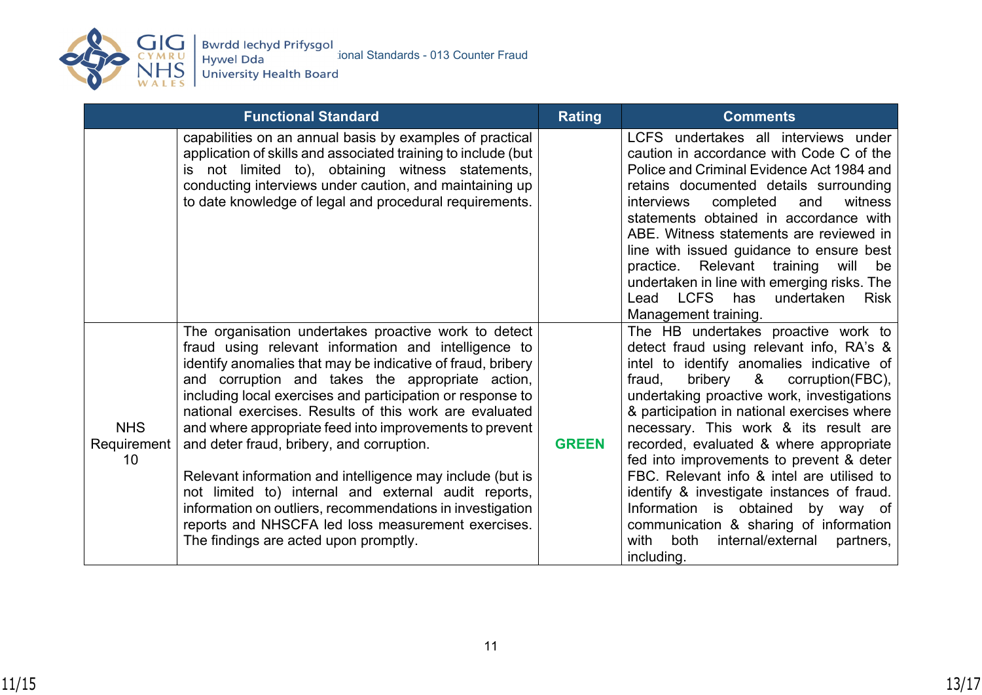

CYMRU<br>REVIEW Hywel Dda Standards - 013 Counter Fraud<br>WALES University Health Board

|                                 | <b>Functional Standard</b>                                                                                                                                                                                                                                                                                                                                                                                                                                                                                                                                                                                                                                                                                                                       | <b>Rating</b> | <b>Comments</b>                                                                                                                                                                                                                                                                                                                                                                                                                                                                                                                                                                                                                              |
|---------------------------------|--------------------------------------------------------------------------------------------------------------------------------------------------------------------------------------------------------------------------------------------------------------------------------------------------------------------------------------------------------------------------------------------------------------------------------------------------------------------------------------------------------------------------------------------------------------------------------------------------------------------------------------------------------------------------------------------------------------------------------------------------|---------------|----------------------------------------------------------------------------------------------------------------------------------------------------------------------------------------------------------------------------------------------------------------------------------------------------------------------------------------------------------------------------------------------------------------------------------------------------------------------------------------------------------------------------------------------------------------------------------------------------------------------------------------------|
|                                 | capabilities on an annual basis by examples of practical<br>application of skills and associated training to include (but<br>is not limited to), obtaining witness statements,<br>conducting interviews under caution, and maintaining up<br>to date knowledge of legal and procedural requirements.                                                                                                                                                                                                                                                                                                                                                                                                                                             |               | LCFS undertakes all interviews under<br>caution in accordance with Code C of the<br>Police and Criminal Evidence Act 1984 and<br>retains documented details surrounding<br>completed<br>witness<br><i>interviews</i><br>and<br>statements obtained in accordance with<br>ABE. Witness statements are reviewed in<br>line with issued guidance to ensure best<br>practice. Relevant training<br>will<br>be<br>undertaken in line with emerging risks. The<br>Lead LCFS has<br>undertaken<br><b>Risk</b><br>Management training.                                                                                                               |
| <b>NHS</b><br>Requirement<br>10 | The organisation undertakes proactive work to detect<br>fraud using relevant information and intelligence to<br>identify anomalies that may be indicative of fraud, bribery<br>and corruption and takes the appropriate action,<br>including local exercises and participation or response to<br>national exercises. Results of this work are evaluated<br>and where appropriate feed into improvements to prevent<br>and deter fraud, bribery, and corruption.<br>Relevant information and intelligence may include (but is<br>not limited to) internal and external audit reports,<br>information on outliers, recommendations in investigation<br>reports and NHSCFA led loss measurement exercises.<br>The findings are acted upon promptly. | <b>GREEN</b>  | The HB undertakes proactive work to<br>detect fraud using relevant info, RA's &<br>intel to identify anomalies indicative of<br>bribery & corruption(FBC),<br>fraud,<br>undertaking proactive work, investigations<br>& participation in national exercises where<br>necessary. This work & its result are<br>recorded, evaluated & where appropriate<br>fed into improvements to prevent & deter<br>FBC. Relevant info & intel are utilised to<br>identify & investigate instances of fraud.<br>Information is obtained by way of<br>communication & sharing of information<br>internal/external<br>with<br>both<br>partners,<br>including. |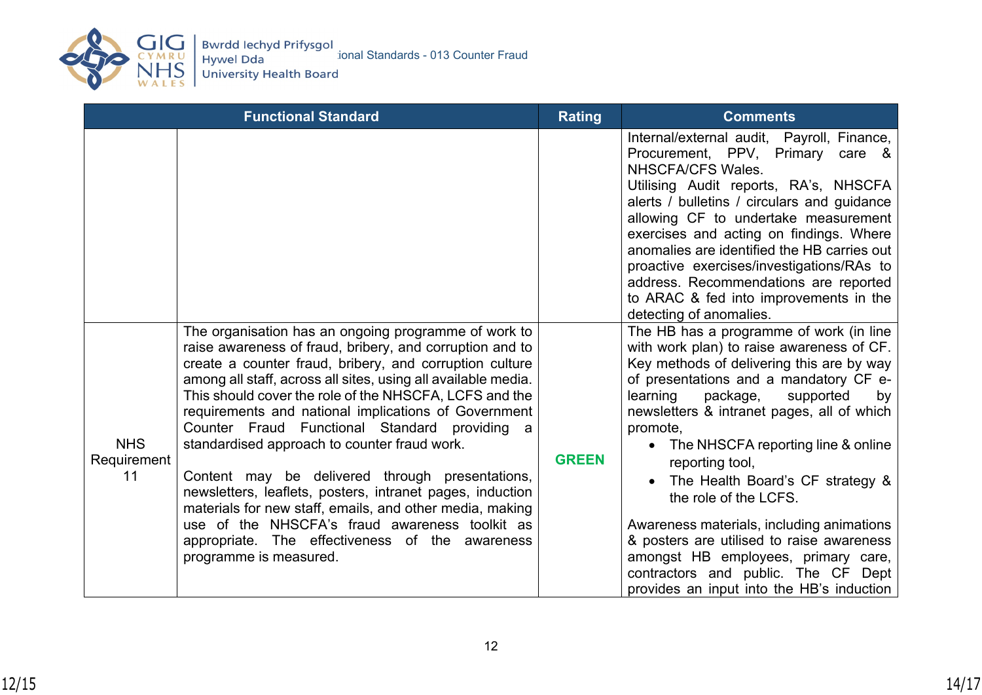

|                                 | <b>Functional Standard</b>                                                                                                                                                                                                                                                                                                                                                                                                                                                                                                                                                                                                                                                                                                                                                 | <b>Rating</b> | <b>Comments</b>                                                                                                                                                                                                                                                                                                                                                                                                                                                                                                                                                                                                               |
|---------------------------------|----------------------------------------------------------------------------------------------------------------------------------------------------------------------------------------------------------------------------------------------------------------------------------------------------------------------------------------------------------------------------------------------------------------------------------------------------------------------------------------------------------------------------------------------------------------------------------------------------------------------------------------------------------------------------------------------------------------------------------------------------------------------------|---------------|-------------------------------------------------------------------------------------------------------------------------------------------------------------------------------------------------------------------------------------------------------------------------------------------------------------------------------------------------------------------------------------------------------------------------------------------------------------------------------------------------------------------------------------------------------------------------------------------------------------------------------|
|                                 |                                                                                                                                                                                                                                                                                                                                                                                                                                                                                                                                                                                                                                                                                                                                                                            |               | Internal/external audit, Payroll, Finance,<br>Procurement, PPV, Primary care &<br>NHSCFA/CFS Wales.<br>Utilising Audit reports, RA's, NHSCFA<br>alerts / bulletins / circulars and guidance<br>allowing CF to undertake measurement<br>exercises and acting on findings. Where<br>anomalies are identified the HB carries out<br>proactive exercises/investigations/RAs to<br>address. Recommendations are reported<br>to ARAC & fed into improvements in the<br>detecting of anomalies.                                                                                                                                      |
| <b>NHS</b><br>Requirement<br>11 | The organisation has an ongoing programme of work to<br>raise awareness of fraud, bribery, and corruption and to<br>create a counter fraud, bribery, and corruption culture<br>among all staff, across all sites, using all available media.<br>This should cover the role of the NHSCFA, LCFS and the<br>requirements and national implications of Government<br>Counter Fraud Functional Standard providing a<br>standardised approach to counter fraud work.<br>Content may be delivered through presentations,<br>newsletters, leaflets, posters, intranet pages, induction<br>materials for new staff, emails, and other media, making<br>use of the NHSCFA's fraud awareness toolkit as<br>appropriate. The effectiveness of the awareness<br>programme is measured. | <b>GREEN</b>  | The HB has a programme of work (in line<br>with work plan) to raise awareness of CF.<br>Key methods of delivering this are by way<br>of presentations and a mandatory CF e-<br>learning<br>package,<br>supported<br>by<br>newsletters & intranet pages, all of which<br>promote,<br>• The NHSCFA reporting line & online<br>reporting tool,<br>The Health Board's CF strategy &<br>the role of the LCFS.<br>Awareness materials, including animations<br>& posters are utilised to raise awareness<br>amongst HB employees, primary care,<br>contractors and public. The CF Dept<br>provides an input into the HB's induction |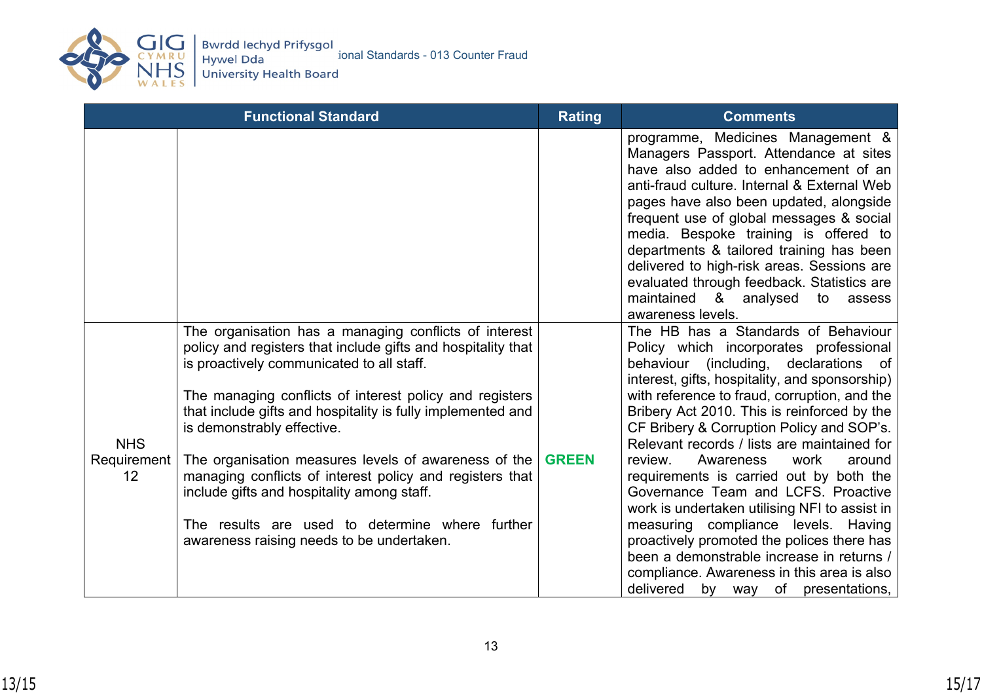

|                                 | <b>Functional Standard</b>                                                                                                                                                                                                                                                                                                                                                                                                                                                                                                                                                                   | <b>Rating</b> | <b>Comments</b>                                                                                                                                                                                                                                                                                                                                                                                                                                                                                                                                                                                                                                                                                                                                                              |
|---------------------------------|----------------------------------------------------------------------------------------------------------------------------------------------------------------------------------------------------------------------------------------------------------------------------------------------------------------------------------------------------------------------------------------------------------------------------------------------------------------------------------------------------------------------------------------------------------------------------------------------|---------------|------------------------------------------------------------------------------------------------------------------------------------------------------------------------------------------------------------------------------------------------------------------------------------------------------------------------------------------------------------------------------------------------------------------------------------------------------------------------------------------------------------------------------------------------------------------------------------------------------------------------------------------------------------------------------------------------------------------------------------------------------------------------------|
|                                 |                                                                                                                                                                                                                                                                                                                                                                                                                                                                                                                                                                                              |               | programme, Medicines Management &<br>Managers Passport. Attendance at sites<br>have also added to enhancement of an<br>anti-fraud culture. Internal & External Web<br>pages have also been updated, alongside<br>frequent use of global messages & social<br>media. Bespoke training is offered to<br>departments & tailored training has been<br>delivered to high-risk areas. Sessions are<br>evaluated through feedback. Statistics are<br>maintained & analysed<br>to<br>assess<br>awareness levels.                                                                                                                                                                                                                                                                     |
| <b>NHS</b><br>Requirement<br>12 | The organisation has a managing conflicts of interest<br>policy and registers that include gifts and hospitality that<br>is proactively communicated to all staff.<br>The managing conflicts of interest policy and registers<br>that include gifts and hospitality is fully implemented and<br>is demonstrably effective.<br>The organisation measures levels of awareness of the<br>managing conflicts of interest policy and registers that<br>include gifts and hospitality among staff.<br>The results are used to determine where further<br>awareness raising needs to be undertaken. | <b>GREEN</b>  | The HB has a Standards of Behaviour<br>Policy which incorporates professional<br>behaviour (including, declarations of<br>interest, gifts, hospitality, and sponsorship)<br>with reference to fraud, corruption, and the<br>Bribery Act 2010. This is reinforced by the<br>CF Bribery & Corruption Policy and SOP's.<br>Relevant records / lists are maintained for<br>review.<br>Awareness<br>work<br>around<br>requirements is carried out by both the<br>Governance Team and LCFS. Proactive<br>work is undertaken utilising NFI to assist in<br>measuring compliance levels. Having<br>proactively promoted the polices there has<br>been a demonstrable increase in returns /<br>compliance. Awareness in this area is also<br>delivered<br>by way<br>of presentations, |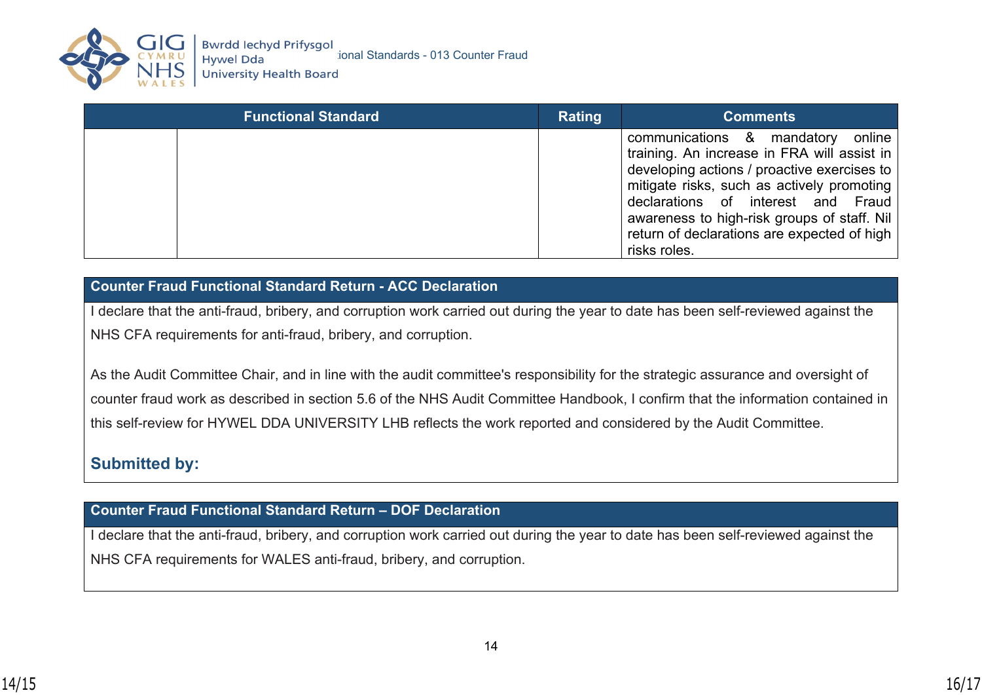

| <b>Functional Standard</b> | Rating | <b>Comments</b>                                                                                                                                                                                                                                                                                                                      |
|----------------------------|--------|--------------------------------------------------------------------------------------------------------------------------------------------------------------------------------------------------------------------------------------------------------------------------------------------------------------------------------------|
|                            |        | communications & mandatory<br>online<br>training. An increase in FRA will assist in<br>developing actions / proactive exercises to<br>mitigate risks, such as actively promoting<br>declarations of interest and Fraud<br>awareness to high-risk groups of staff. Nil<br>return of declarations are expected of high<br>risks roles. |

## **Counter Fraud Functional Standard Return - ACC Declaration**

I declare that the anti-fraud, bribery, and corruption work carried out during the year to date has been self-reviewed against the NHS CFA requirements for anti-fraud, bribery, and corruption.

As the Audit Committee Chair, and in line with the audit committee's responsibility for the strategic assurance and oversight of counter fraud work as described in section 5.6 of the NHS Audit Committee Handbook, I confirm that the information contained in this self-review for HYWEL DDA UNIVERSITY LHB reflects the work reported and considered by the Audit Committee.

# **Submitted by:**

**Counter Fraud Functional Standard Return – DOF Declaration**

I declare that the anti-fraud, bribery, and corruption work carried out during the year to date has been self-reviewed against the NHS CFA requirements for WALES anti-fraud, bribery, and corruption.